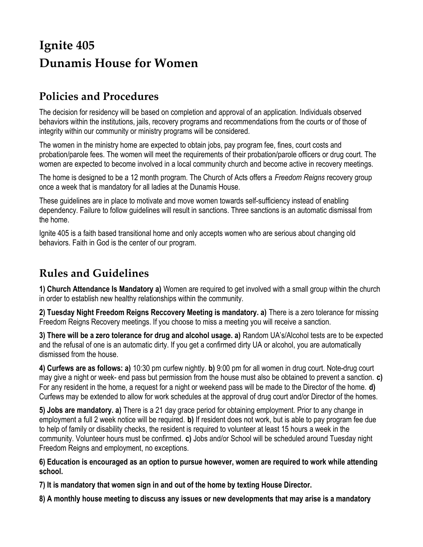# **Ignite 405 Dunamis House for Women**

## **Policies and Procedures**

The decision for residency will be based on completion and approval of an application. Individuals observed behaviors within the institutions, jails, recovery programs and recommendations from the courts or of those of integrity within our community or ministry programs will be considered.

The women in the ministry home are expected to obtain jobs, pay program fee, fines, court costs and probation/parole fees. The women will meet the requirements of their probation/parole officers or drug court. The women are expected to become involved in a local community church and become active in recovery meetings.

The home is designed to be a 12 month program. The Church of Acts offers a *Freedom Reigns* recovery group once a week that is mandatory for all ladies at the Dunamis House.

These guidelines are in place to motivate and move women towards self-sufficiency instead of enabling dependency. Failure to follow guidelines will result in sanctions. Three sanctions is an automatic dismissal from the home.

Ignite 405 is a faith based transitional home and only accepts women who are serious about changing old behaviors. Faith in God is the center of our program.

### **Rules and Guidelines**

**1) Church Attendance Is Mandatory a)** Women are required to get involved with a small group within the church in order to establish new healthy relationships within the community.

**2) Tuesday Night Freedom Reigns Reccovery Meeting is mandatory. a)** There is a zero tolerance for missing Freedom Reigns Recovery meetings. If you choose to miss a meeting you will receive a sanction.

**3) There will be a zero tolerance for drug and alcohol usage. a)** Random UA's/Alcohol tests are to be expected and the refusal of one is an automatic dirty. If you get a confirmed dirty UA or alcohol, you are automatically dismissed from the house.

**4) Curfews are as follows: a)** 10:30 pm curfew nightly. **b)** 9:00 pm for all women in drug court. Note-drug court may give a night or week- end pass but permission from the house must also be obtained to prevent a sanction. **c)** For any resident in the home, a request for a night or weekend pass will be made to the Director of the home. **d)**  Curfews may be extended to allow for work schedules at the approval of drug court and/or Director of the homes.

**5) Jobs are mandatory. a)** There is a 21 day grace period for obtaining employment. Prior to any change in employment a full 2 week notice will be required. **b)** If resident does not work, but is able to pay program fee due to help of family or disability checks, the resident is required to volunteer at least 15 hours a week in the community. Volunteer hours must be confirmed. **c)** Jobs and/or School will be scheduled around Tuesday night Freedom Reigns and employment, no exceptions.

**6) Education is encouraged as an option to pursue however, women are required to work while attending school.** 

**7) It is mandatory that women sign in and out of the home by texting House Director.** 

**8) A monthly house meeting to discuss any issues or new developments that may arise is a mandatory**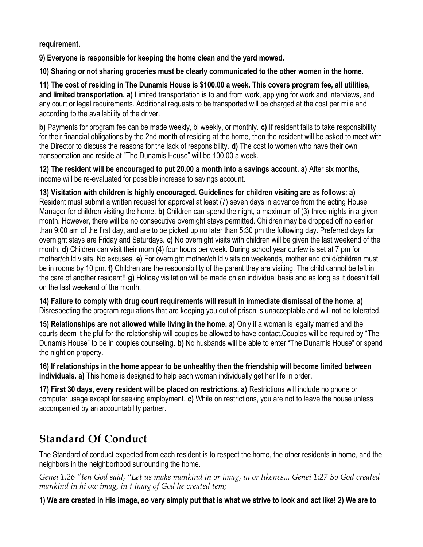#### **requirement.**

**9) Everyone is responsible for keeping the home clean and the yard mowed.** 

**10) Sharing or not sharing groceries must be clearly communicated to the other women in the home.** 

**11) The cost of residing in The Dunamis House is \$100.00 a week. This covers program fee, all utilities, and limited transportation. a)** Limited transportation is to and from work, applying for work and interviews, and any court or legal requirements. Additional requests to be transported will be charged at the cost per mile and according to the availability of the driver.

**b)** Payments for program fee can be made weekly, bi weekly, or monthly. **c)** If resident fails to take responsibility for their financial obligations by the 2nd month of residing at the home, then the resident will be asked to meet with the Director to discuss the reasons for the lack of responsibility. **d)** The cost to women who have their own transportation and reside at "The Dunamis House" will be 100.00 a week.

**12) The resident will be encouraged to put 20.00 a month into a savings account. a)** After six months, income will be re-evaluated for possible increase to savings account.

**13) Visitation with children is highly encouraged. Guidelines for children visiting are as follows: a)**  Resident must submit a written request for approval at least (7) seven days in advance from the acting House Manager for children visiting the home. **b)** Children can spend the night, a maximum of (3) three nights in a given month. However, there will be no consecutive overnight stays permitted. Children may be dropped off no earlier than 9:00 am of the first day, and are to be picked up no later than 5:30 pm the following day. Preferred days for overnight stays are Friday and Saturdays. **c)** No overnight visits with children will be given the last weekend of the month. **d)** Children can visit their mom (4) four hours per week. During school year curfew is set at 7 pm for mother/child visits. No excuses. **e)** For overnight mother/child visits on weekends, mother and child/children must be in rooms by 10 pm. **f)** Children are the responsibility of the parent they are visiting. The child cannot be left in the care of another resident!! **g)** Holiday visitation will be made on an individual basis and as long as it doesn't fall on the last weekend of the month.

**14) Failure to comply with drug court requirements will result in immediate dismissal of the home. a)**  Disrespecting the program regulations that are keeping you out of prison is unacceptable and will not be tolerated.

**15) Relationships are not allowed while living in the home. a)** Only if a woman is legally married and the courts deem it helpful for the relationship will couples be allowed to have contact.Couples will be required by "The Dunamis House" to be in couples counseling. **b)** No husbands will be able to enter "The Dunamis House" or spend the night on property.

**16) If relationships in the home appear to be unhealthy then the friendship will become limited between individuals. a)** This home is designed to help each woman individually get her life in order.

**17) First 30 days, every resident will be placed on restrictions. a)** Restrictions will include no phone or computer usage except for seeking employment. **c)** While on restrictions, you are not to leave the house unless accompanied by an accountability partner.

## **Standard Of Conduct**

The Standard of conduct expected from each resident is to respect the home, the other residents in home, and the neighbors in the neighborhood surrounding the home.

*Genei 1:26 "ten God said, "Let us make mankind in or imag, in or likenes... Genei 1:27 So God created mankind in hi ow imag, in t imag of God he created tem;* 

**1) We are created in His image, so very simply put that is what we strive to look and act like! 2) We are to**